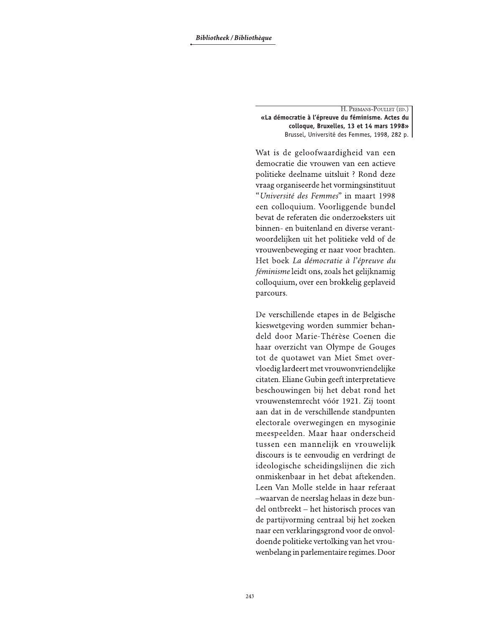H. PEEMANS-POULLET (ED.) «La démocratie à l'épreuve du féminisme. Actes du colloque, Bruxelles, 13 et 14 mars 1998» Brussel, Université des Femmes, 1998, 282 p.

Wat is de geloofwaardigheid van een democratie die vrouwen van een actieve politieke deelname uitsluit ? Rond deze vraag organiseerde het vormingsinstituut "Université des Femmes" in maart 1998 een colloquium. Voorliggende bundel bevat de referaten die onderzoeksters uit binnen- en buitenland en diverse verantwoordelijken uit het politieke veld of de vrouwenbeweging er naar voor brachten. Het boek La démocratie à l'épreuve du féminisme leidt ons, zoals het gelijknamig colloquium, over een brokkelig geplaveid parcours.

De verschillende etapes in de Belgische kieswetgeving worden summier behandeld door Marie-Thérèse Coenen die haar overzicht van Olympe de Gouges tot de quotawet van Miet Smet overvloedig lardeert met vrouwonvriendelijke citaten. Eliane Gubin geeft interpretatieve beschouwingen bij het debat rond het vrouwenstemrecht vóór 1921. Zij toont aan dat in de verschillende standpunten electorale overwegingen en mysoginie meespeelden. Maar haar onderscheid tussen een mannelijk en vrouwelijk discours is te eenvoudig en verdringt de ideologische scheidingslijnen die zich onmiskenbaar in het debat aftekenden. Leen Van Molle stelde in haar referaat -waarvan de neerslag helaas in deze bundel ontbreekt - het historisch proces van de partijvorming centraal bij het zoeken naar een verklaringsgrond voor de onvoldoende politieke vertolking van het vrouwenbelang in parlementaire regimes. Door